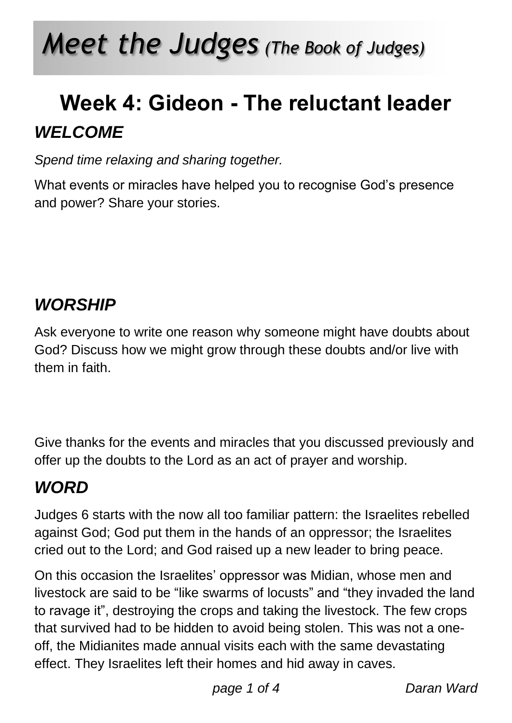# *Meet the Judges (The Book of Judges)*

## **Week 4: Gideon - The reluctant leader** *WELCOME*

*Spend time relaxing and sharing together.*

What events or miracles have helped you to recognise God's presence and power? Share your stories.

### *WORSHIP*

Ask everyone to write one reason why someone might have doubts about God? Discuss how we might grow through these doubts and/or live with them in faith.

Give thanks for the events and miracles that you discussed previously and offer up the doubts to the Lord as an act of prayer and worship.

### *WORD*

Judges 6 starts with the now all too familiar pattern: the Israelites rebelled against God; God put them in the hands of an oppressor; the Israelites cried out to the Lord; and God raised up a new leader to bring peace.

On this occasion the Israelites' oppressor was Midian, whose men and livestock are said to be "like swarms of locusts" and "they invaded the land to ravage it", destroying the crops and taking the livestock. The few crops that survived had to be hidden to avoid being stolen. This was not a oneoff, the Midianites made annual visits each with the same devastating effect. They Israelites left their homes and hid away in caves.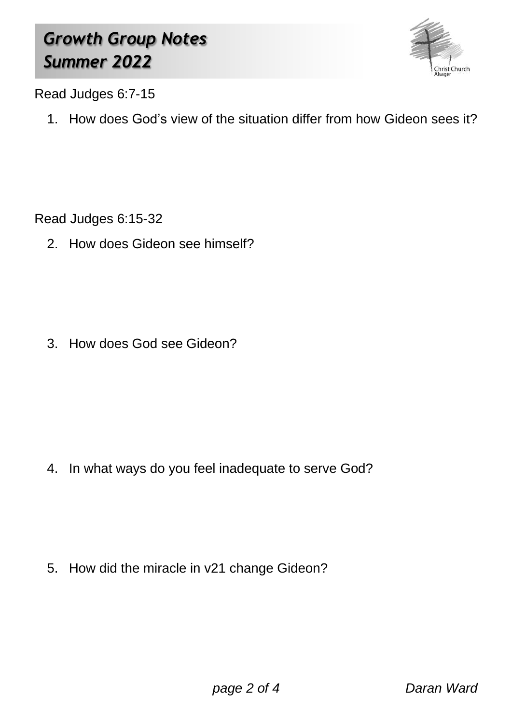### *Growth Group Notes Summer 2022*



Read Judges 6:7-15

1. How does God's view of the situation differ from how Gideon sees it?

Read Judges 6:15-32

2. How does Gideon see himself?

3. How does God see Gideon?

4. In what ways do you feel inadequate to serve God?

5. How did the miracle in v21 change Gideon?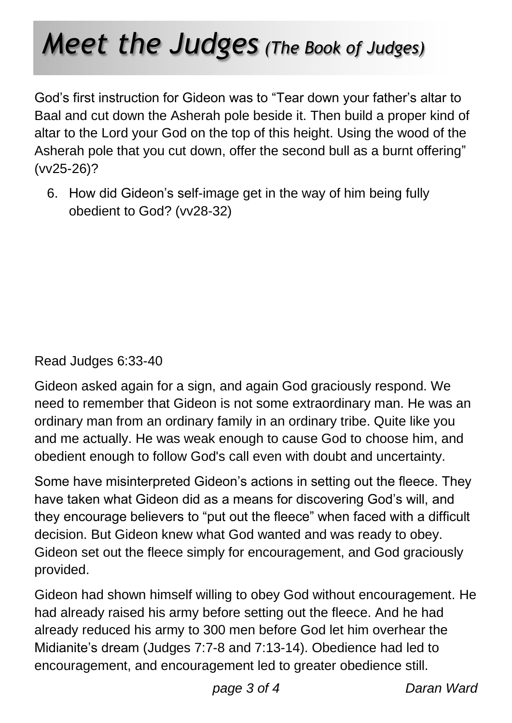# *Meet the Judges (The Book of Judges)*

God's first instruction for Gideon was to "Tear down your father's altar to Baal and cut down the Asherah pole beside it. Then build a proper kind of altar to the Lord your God on the top of this height. Using the wood of the Asherah pole that you cut down, offer the second bull as a burnt offering" (vv25-26)?

6. How did Gideon's self-image get in the way of him being fully obedient to God? (vv28-32)

#### Read Judges 6:33-40

Gideon asked again for a sign, and again God graciously respond. We need to remember that Gideon is not some extraordinary man. He was an ordinary man from an ordinary family in an ordinary tribe. Quite like you and me actually. He was weak enough to cause God to choose him, and obedient enough to follow God's call even with doubt and uncertainty.

Some have misinterpreted Gideon's actions in setting out the fleece. They have taken what Gideon did as a means for discovering God's will, and they encourage believers to "put out the fleece" when faced with a difficult decision. But Gideon knew what God wanted and was ready to obey. Gideon set out the fleece simply for encouragement, and God graciously provided.

Gideon had shown himself willing to obey God without encouragement. He had already raised his army before setting out the fleece. And he had already reduced his army to 300 men before God let him overhear the Midianite's dream (Judges 7:7-8 and 7:13-14). Obedience had led to encouragement, and encouragement led to greater obedience still.